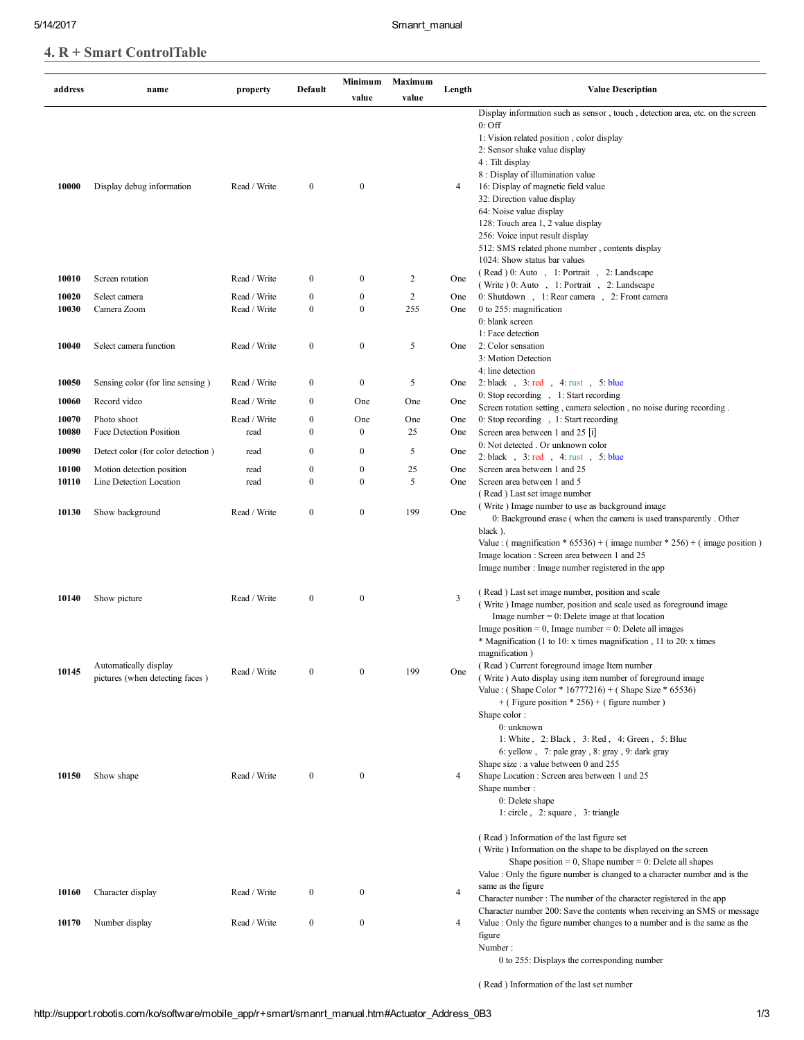## 4. R + Smart ControlTable

| address | name                                                     | property     | Default          | Minimum          | Maximum        | Length | <b>Value Description</b>                                                                                                                                                                                                                                                                                                                                                                        |
|---------|----------------------------------------------------------|--------------|------------------|------------------|----------------|--------|-------------------------------------------------------------------------------------------------------------------------------------------------------------------------------------------------------------------------------------------------------------------------------------------------------------------------------------------------------------------------------------------------|
|         |                                                          |              |                  | value            | value          |        |                                                                                                                                                                                                                                                                                                                                                                                                 |
|         |                                                          |              |                  |                  |                |        | Display information such as sensor, touch, detection area, etc. on the screen<br>$0:$ Off<br>1: Vision related position, color display<br>2: Sensor shake value display<br>4 : Tilt display<br>8 : Display of illumination value                                                                                                                                                                |
| 10000   | Display debug information                                | Read / Write | $\bf{0}$         | $\bf{0}$         |                | 4      | 16: Display of magnetic field value<br>32: Direction value display<br>64: Noise value display<br>128: Touch area 1, 2 value display<br>256: Voice input result display<br>512: SMS related phone number, contents display<br>1024: Show status bar values                                                                                                                                       |
| 10010   | Screen rotation                                          | Read / Write | $\mathbf{0}$     | $\bf{0}$         | 2              | One    | (Read) 0: Auto, 1: Portrait, 2: Landscape                                                                                                                                                                                                                                                                                                                                                       |
| 10020   | Select camera                                            | Read / Write | $\boldsymbol{0}$ | $\boldsymbol{0}$ | $\overline{2}$ | One    | (Write ) 0: Auto, 1: Portrait, 2: Landscape<br>0: Shutdown, 1: Rear camera, 2: Front camera                                                                                                                                                                                                                                                                                                     |
| 10030   | Camera Zoom                                              | Read / Write | $\boldsymbol{0}$ | $\mathbf{0}$     | 255            | One    | 0 to 255: magnification                                                                                                                                                                                                                                                                                                                                                                         |
|         |                                                          |              |                  |                  |                |        | 0: blank screen<br>1: Face detection                                                                                                                                                                                                                                                                                                                                                            |
| 10040   | Select camera function                                   | Read / Write | $\boldsymbol{0}$ | $\bf{0}$         | 5              | One    | 2: Color sensation<br>3: Motion Detection<br>4: line detection                                                                                                                                                                                                                                                                                                                                  |
| 10050   | Sensing color (for line sensing)                         | Read / Write | $\boldsymbol{0}$ | $\bf{0}$         | 5              | One    | 2: black, $3$ : red, $4$ : rust, $5$ : blue                                                                                                                                                                                                                                                                                                                                                     |
|         |                                                          |              | $\mathbf{0}$     |                  |                |        | 0: Stop recording , 1: Start recording                                                                                                                                                                                                                                                                                                                                                          |
| 10060   | Record video                                             | Read / Write |                  | One              | One            | One    | Screen rotation setting, camera selection, no noise during recording.                                                                                                                                                                                                                                                                                                                           |
| 10070   | Photo shoot                                              | Read / Write | $\boldsymbol{0}$ | One              | One            | One    | 0: Stop recording, 1: Start recording                                                                                                                                                                                                                                                                                                                                                           |
| 10080   | Face Detection Position                                  | read         | $\boldsymbol{0}$ | $\bf{0}$         | 25             | One    | Screen area between 1 and 25 [i]                                                                                                                                                                                                                                                                                                                                                                |
| 10090   | Detect color (for color detection)                       | read         | $\mathbf{0}$     | $\boldsymbol{0}$ | 5              | One    | 0: Not detected . Or unknown color<br>2:black, 3:red, 4:rust, 5:blue                                                                                                                                                                                                                                                                                                                            |
| 10100   | Motion detection position                                | read         | $\boldsymbol{0}$ | $\boldsymbol{0}$ | 25             | One    | Screen area between 1 and 25                                                                                                                                                                                                                                                                                                                                                                    |
| 10110   | Line Detection Location                                  | read         | $\overline{0}$   | $\mathbf{0}$     | 5              | One    | Screen area between 1 and 5                                                                                                                                                                                                                                                                                                                                                                     |
|         |                                                          |              |                  |                  |                |        | (Read) Last set image number                                                                                                                                                                                                                                                                                                                                                                    |
| 10130   | Show background                                          | Read / Write | $\mathbf{0}$     | $\boldsymbol{0}$ | 199            | One    | (Write) Image number to use as background image                                                                                                                                                                                                                                                                                                                                                 |
|         |                                                          |              |                  |                  |                |        | 0: Background erase (when the camera is used transparently . Other<br>black).<br>Value: (magnification * 65536) + (image number * 256) + (image position)<br>Image location : Screen area between 1 and 25<br>Image number: Image number registered in the app<br>(Read) Last set image number, position and scale                                                                              |
| 10140   | Show picture                                             | Read / Write | $\boldsymbol{0}$ | $\bf{0}$         |                | 3      | (Write) Image number, position and scale used as foreground image<br>Image number = $0$ : Delete image at that location<br>Image position = 0, Image number = 0: Delete all images<br>* Magnification (1 to 10: x times magnification, 11 to 20: x times<br>magnification)                                                                                                                      |
| 10145   | Automatically display<br>pictures (when detecting faces) | Read / Write | $\mathbf{0}$     | $\mathbf{0}$     | 199            | One    | (Read) Current foreground image Item number<br>(Write) Auto display using item number of foreground image<br>Value: (Shape Color * 16777216) + (Shape Size * 65536)<br>$+$ (Figure position * 256) + (figure number)<br>Shape color:<br>0: unknown<br>1: White, 2: Black, 3: Red, 4: Green, 5: Blue<br>6: yellow, 7: pale gray, 8: gray, 9: dark gray<br>Shape size : a value between 0 and 255 |
| 10150   | Show shape                                               | Read / Write | $\mathbf{0}$     | $\bf{0}$         |                | 4      | Shape Location: Screen area between 1 and 25<br>Shape number:<br>0: Delete shape<br>$1:$ circle, $2:$ square, $3:$ triangle<br>(Read) Information of the last figure set<br>(Write) Information on the shape to be displayed on the screen<br>Shape position = $0$ , Shape number = $0$ : Delete all shapes<br>Value : Only the figure number is changed to a character number and is the       |
| 10160   | Character display                                        | Read / Write | $\boldsymbol{0}$ | $\boldsymbol{0}$ |                | 4      | same as the figure<br>Character number : The number of the character registered in the app<br>Character number 200: Save the contents when receiving an SMS or message                                                                                                                                                                                                                          |
| 10170   | Number display                                           | Read / Write | $\boldsymbol{0}$ | $\bf{0}$         |                | 4      | Value : Only the figure number changes to a number and is the same as the<br>figure<br>Number:<br>0 to 255: Displays the corresponding number                                                                                                                                                                                                                                                   |

( Read ) Information of the last set number